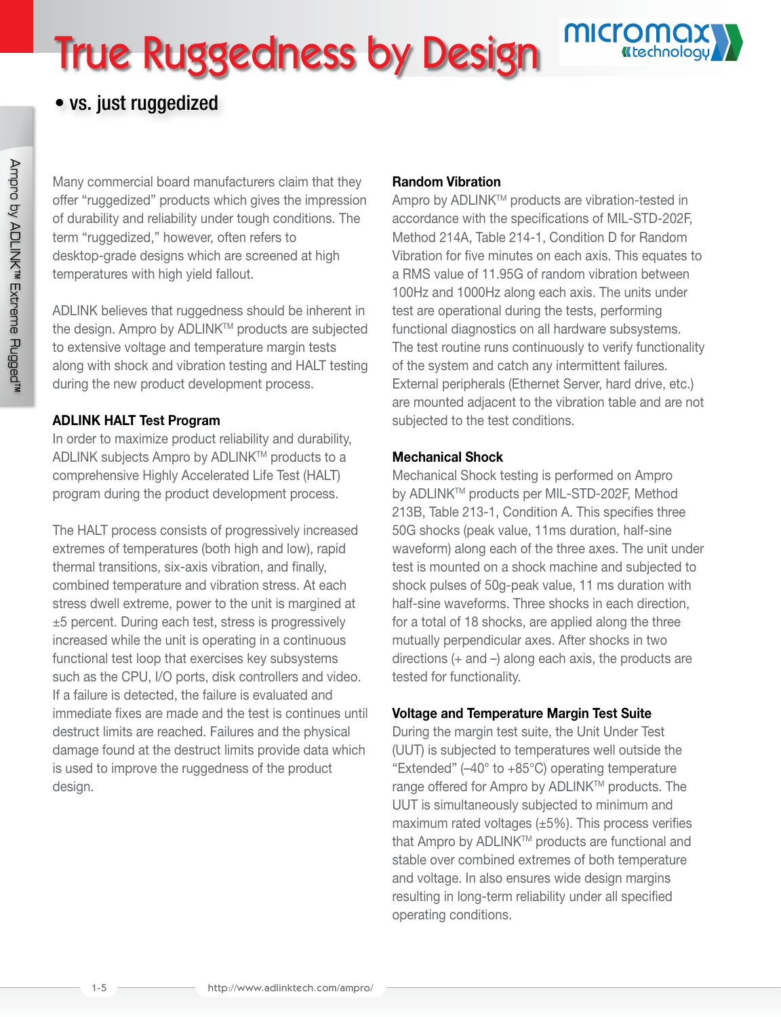# True Ruggedness by Design



# • vs. just ruggedized

Many commercial board manufacturers claim that they offer "ruggedized" products which gives the impression of durability and reliability under tough conditions. The term "ruggedized," however, often refers to desktop-grade designs which are screened at high temperatures with high yield fallout.

ADLINK believes that ruggedness should be inherent in the design. Ampro by ADLINK™ products are subjected to extensive voltage and temperature margin tests along with shock and vibration testing and HALT testing during the new product development process.

## ADLINK HALT Test Program

In order to maximize product reliability and durability, ADLINK subjects Ampro by ADLINK™ products to a comprehensive Highly Accelerated Life Test (HALT) program during the product development process.

The HALT process consists of progressively increased extremes of temperatures (both high and low), rapid thermal transitions, six-axis vibration, and finally, combined temperature and vibration stress. At each stress dwell extreme, power to the unit is margined at ±5 percent. During each test, stress is progressively increased while the unit is operating in a continuous functional test loop that exercises key subsystems such as the CPU, I/O ports, disk controllers and video. If a failure is detected, the failure is evaluated and immediate fixes are made and the test is continues until destruct limits are reached. Failures and the physical damage found at the destruct limits provide data which is used to improve the ruggedness of the product design.

## Random Vibration

Ampro by ADLINK™ products are vibration-tested in accordance with the specifications of MIL-STD-202F, Method 214A, Table 214-1, Condition D for Random Vibration for five minutes on each axis. This equates to a RMS value of 11.95G of random vibration between 100Hz and 1000Hz along each axis. The units under test are operational during the tests, performing functional diagnostics on all hardware subsystems. The test routine runs continuously to verify functionality of the system and catch any intermittent failures. External peripherals (Ethernet Server, hard drive, etc.) are mounted adjacent to the vibration table and are not subjected to the test conditions.

## Mechanical Shock

Mechanical Shock testing is performed on Ampro by ADLINKTM products per MIL-STD-202F, Method 213B, Table 213-1, Condition A. This specifies three 50G shocks (peak value, 11ms duration, half-sine waveform) along each of the three axes. The unit under test is mounted on a shock machine and subjected to shock pulses of 50g-peak value, 11 ms duration with half-sine waveforms. Three shocks in each direction, for a total of 18 shocks, are applied along the three mutually perpendicular axes. After shocks in two directions (+ and –) along each axis, the products are tested for functionality.

## Voltage and Temperature Margin Test Suite

During the margin test suite, the Unit Under Test (UUT) is subjected to temperatures well outside the "Extended" (–40° to +85°C) operating temperature range offered for Ampro by ADLINK™ products. The UUT is simultaneously subjected to minimum and maximum rated voltages  $(\pm 5\%)$ . This process verifies that Ampro by ADLINK™ products are functional and stable over combined extremes of both temperature and voltage. In also ensures wide design margins resulting in long-term reliability under all specified operating conditions.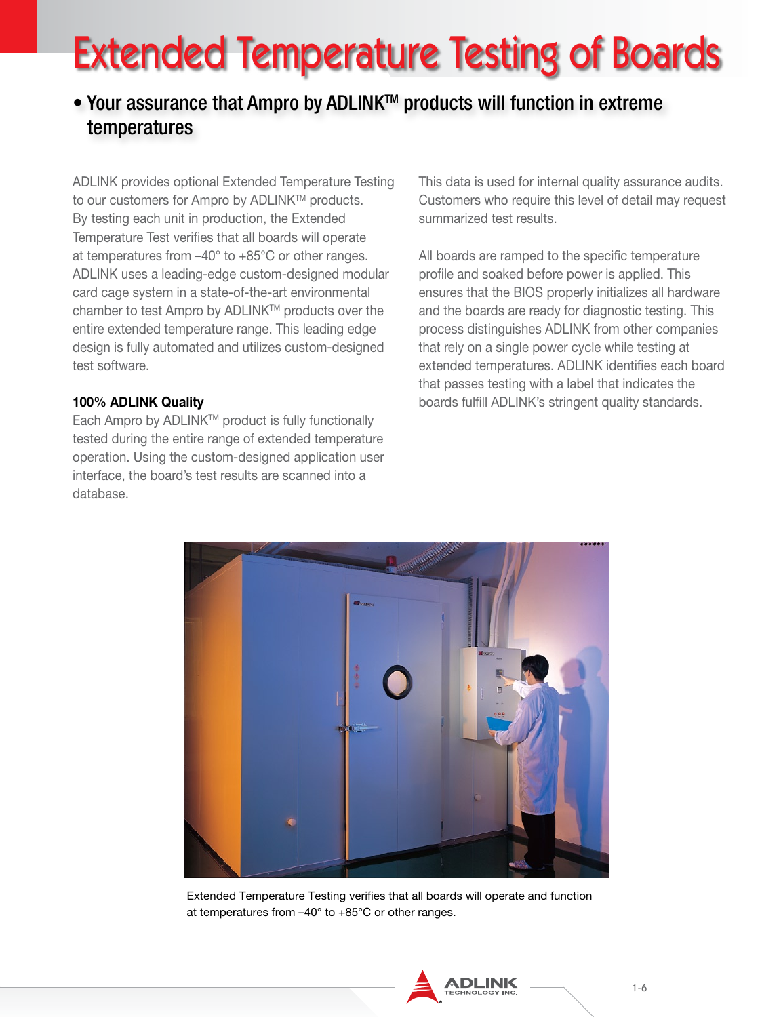# Extended Temperature Testing of Boards

# • Your assurance that Ampro by ADLINK<sup>™</sup> products will function in extreme temperatures

ADLINK provides optional Extended Temperature Testing to our customers for Ampro by ADLINK™ products. By testing each unit in production, the Extended Temperature Test verifies that all boards will operate at temperatures from –40° to +85°C or other ranges. ADLINK uses a leading-edge custom-designed modular card cage system in a state-of-the-art environmental chamber to test Ampro by ADLINK™ products over the entire extended temperature range. This leading edge design is fully automated and utilizes custom-designed test software.

## 100% ADLINK Quality

Each Ampro by ADLINK™ product is fully functionally tested during the entire range of extended temperature operation. Using the custom-designed application user interface, the board's test results are scanned into a database.

This data is used for internal quality assurance audits. Customers who require this level of detail may request summarized test results.

All boards are ramped to the specific temperature profile and soaked before power is applied. This ensures that the BIOS properly initializes all hardware and the boards are ready for diagnostic testing. This process distinguishes ADLINK from other companies that rely on a single power cycle while testing at extended temperatures. ADLINK identifies each board that passes testing with a label that indicates the boards fulfill ADLINK's stringent quality standards.



Extended Temperature Testing verifies that all boards will operate and function at temperatures from –40° to +85°C or other ranges.